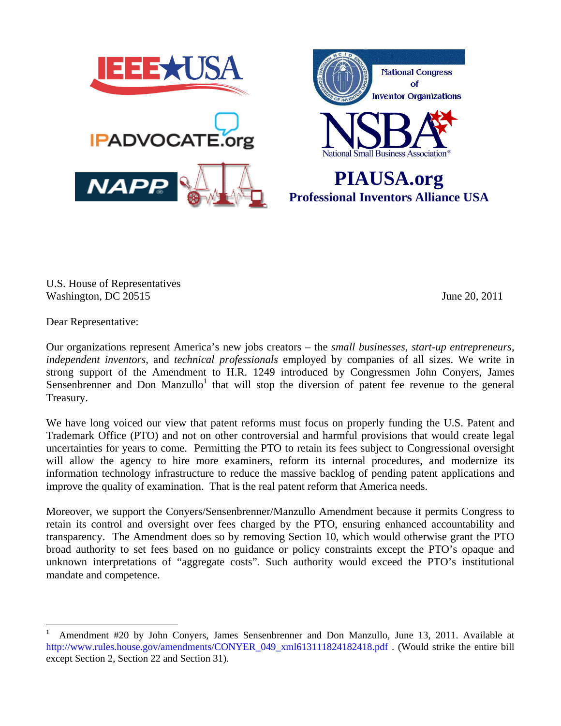

U.S. House of Representatives Washington, DC 20515 June 20, 2011

Dear Representative:

 $\overline{a}$ 

Our organizations represent America's new jobs creators – the *small businesses, start-up entrepreneurs*, *independent inventors*, and *technical professionals* employed by companies of all sizes. We write in strong support of the Amendment to H.R. 1249 introduced by Congressmen John Conyers, James Sensenbrenner and Don Manzullo<sup>1</sup> that will stop the diversion of patent fee revenue to the general Treasury.

We have long voiced our view that patent reforms must focus on properly funding the U.S. Patent and Trademark Office (PTO) and not on other controversial and harmful provisions that would create legal uncertainties for years to come. Permitting the PTO to retain its fees subject to Congressional oversight will allow the agency to hire more examiners, reform its internal procedures, and modernize its information technology infrastructure to reduce the massive backlog of pending patent applications and improve the quality of examination. That is the real patent reform that America needs.

Moreover, we support the Conyers/Sensenbrenner/Manzullo Amendment because it permits Congress to retain its control and oversight over fees charged by the PTO, ensuring enhanced accountability and transparency. The Amendment does so by removing Section 10, which would otherwise grant the PTO broad authority to set fees based on no guidance or policy constraints except the PTO's opaque and unknown interpretations of "aggregate costs". Such authority would exceed the PTO's institutional mandate and competence.

<sup>1</sup> Amendment #20 by John Conyers, James Sensenbrenner and Don Manzullo, June 13, 2011. Available at http://www.rules.house.gov/amendments/CONYER\_049\_xml613111824182418.pdf . (Would strike the entire bill except Section 2, Section 22 and Section 31).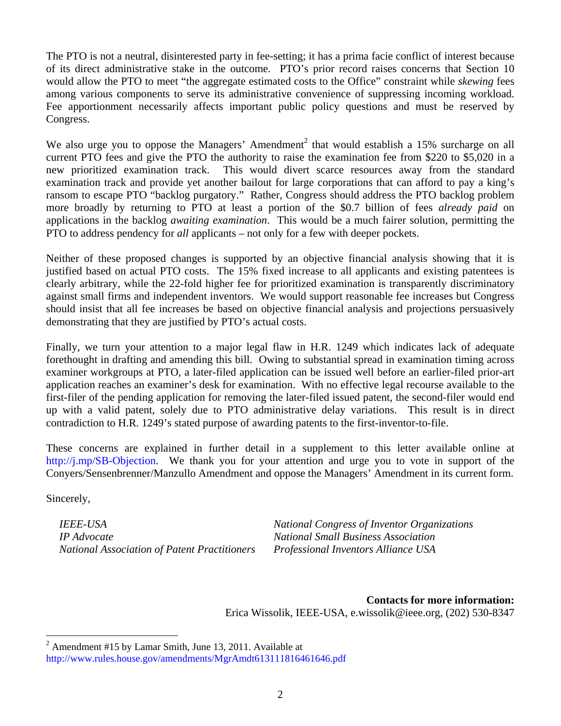The PTO is not a neutral, disinterested party in fee-setting; it has a prima facie conflict of interest because of its direct administrative stake in the outcome. PTO's prior record raises concerns that Section 10 would allow the PTO to meet "the aggregate estimated costs to the Office" constraint while *skewing* fees among various components to serve its administrative convenience of suppressing incoming workload. Fee apportionment necessarily affects important public policy questions and must be reserved by Congress.

We also urge you to oppose the Managers' Amendment<sup>2</sup> that would establish a 15% surcharge on all current PTO fees and give the PTO the authority to raise the examination fee from \$220 to \$5,020 in a new prioritized examination track. This would divert scarce resources away from the standard examination track and provide yet another bailout for large corporations that can afford to pay a king's ransom to escape PTO "backlog purgatory." Rather, Congress should address the PTO backlog problem more broadly by returning to PTO at least a portion of the \$0.7 billion of fees *already paid* on applications in the backlog *awaiting examination*. This would be a much fairer solution, permitting the PTO to address pendency for *all* applicants – not only for a few with deeper pockets.

Neither of these proposed changes is supported by an objective financial analysis showing that it is justified based on actual PTO costs. The 15% fixed increase to all applicants and existing patentees is clearly arbitrary, while the 22-fold higher fee for prioritized examination is transparently discriminatory against small firms and independent inventors. We would support reasonable fee increases but Congress should insist that all fee increases be based on objective financial analysis and projections persuasively demonstrating that they are justified by PTO's actual costs.

Finally, we turn your attention to a major legal flaw in H.R. 1249 which indicates lack of adequate forethought in drafting and amending this bill. Owing to substantial spread in examination timing across examiner workgroups at PTO, a later-filed application can be issued well before an earlier-filed prior-art application reaches an examiner's desk for examination. With no effective legal recourse available to the first-filer of the pending application for removing the later-filed issued patent, the second-filer would end up with a valid patent, solely due to PTO administrative delay variations. This result is in direct contradiction to H.R. 1249's stated purpose of awarding patents to the first-inventor-to-file.

These concerns are explained in further detail in a supplement to this letter available online at http://j.mp/SB-Objection. We thank you for your attention and urge you to vote in support of the Conyers/Sensenbrenner/Manzullo Amendment and oppose the Managers' Amendment in its current form.

Sincerely,

 $\overline{a}$ 

*IP Advocate National Small Business Association National Association of Patent Practitioners Professional Inventors Alliance USA* 

*IEEE-USA National Congress of Inventor Organizations* 

**Contacts for more information:**  Erica Wissolik, IEEE-USA, e.wissolik@ieee.org, (202) 530-8347

 $2^{2}$  Amendment #15 by Lamar Smith, June 13, 2011. Available at http://www.rules.house.gov/amendments/MgrAmdt613111816461646.pdf